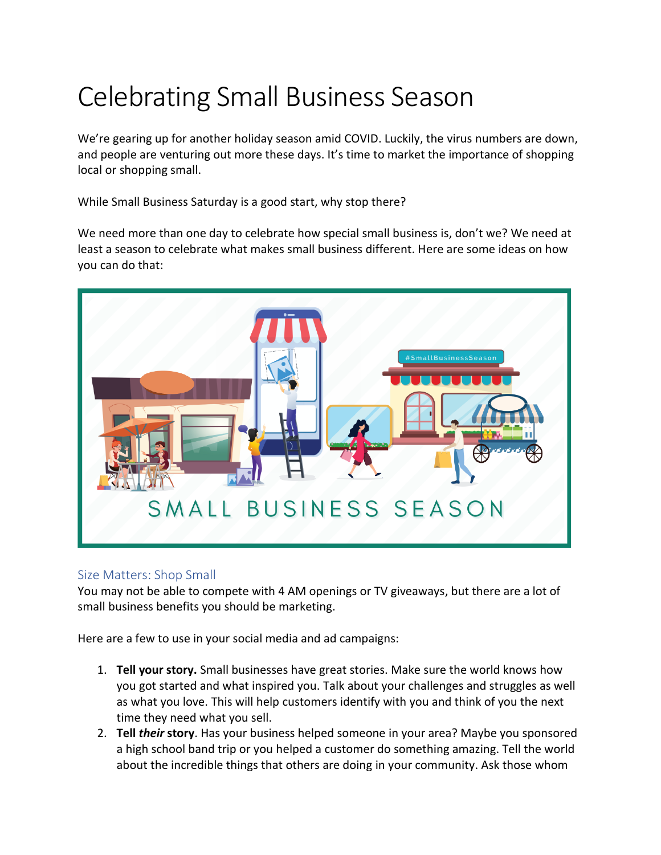## Celebrating Small Business Season

We're gearing up for another holiday season amid COVID. Luckily, the virus numbers are down, and people are venturing out more these days. It's time to market the importance of shopping local or shopping small.

While Small Business Saturday is a good start, why stop there?

We need more than one day to celebrate how special small business is, don't we? We need at least a season to celebrate what makes small business different. Here are some ideas on how you can do that:



## Size Matters: Shop Small

You may not be able to compete with 4 AM openings or TV giveaways, but there are a lot of small business benefits you should be marketing.

Here are a few to use in your social media and ad campaigns:

- 1. **Tell your story.** Small businesses have great stories. Make sure the world knows how you got started and what inspired you. Talk about your challenges and struggles as well as what you love. This will help customers identify with you and think of you the next time they need what you sell.
- 2. **Tell** *their* **story**. Has your business helped someone in your area? Maybe you sponsored a high school band trip or you helped a customer do something amazing. Tell the world about the incredible things that others are doing in your community. Ask those whom